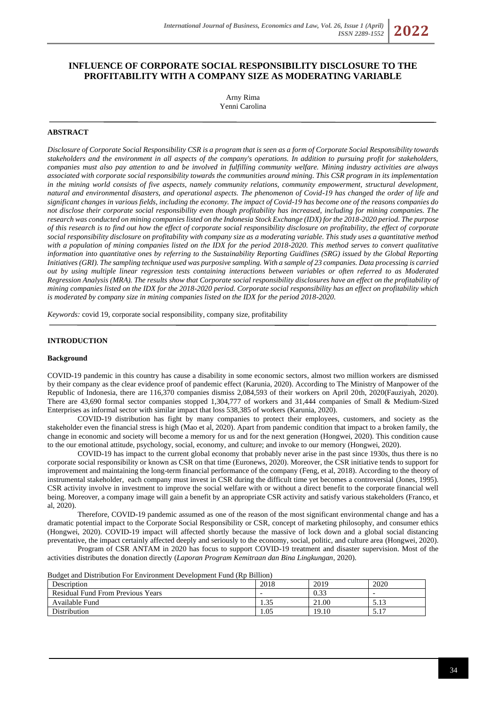# **INFLUENCE OF CORPORATE SOCIAL RESPONSIBILITY DISCLOSURE TO THE PROFITABILITY WITH A COMPANY SIZE AS MODERATING VARIABLE**

Arny Rima Yenni Carolina

### **ABSTRACT**

*Disclosure of Corporate Social Responsibility CSR is a program that is seen as a form of Corporate Social Responsibility towards stakeholders and the environment in all aspects of the company's operations. In addition to pursuing profit for stakeholders, companies must also pay attention to and be involved in fulfilling community welfare. Mining industry activities are always associated with corporate social responsibility towards the communities around mining. This CSR program in its implementation in the mining world consists of five aspects, namely community relations, community empowerment, structural development, natural and environmental disasters, and operational aspects. The phenomenon of Covid-19 has changed the order of life and significant changes in various fields, including the economy. The impact of Covid-19 has become one of the reasons companies do not disclose their corporate social responsibility even though profitability has increased, including for mining companies. The research was conducted on mining companies listed on the Indonesia Stock Exchange (IDX) for the 2018-2020 period. The purpose of this research is to find out how the effect of corporate social responsibility disclosure on profitability, the effect of corporate social responsibility disclosure on profitability with company size as a moderating variable. This study uses a quantitative method with a population of mining companies listed on the IDX for the period 2018-2020. This method serves to convert qualitative information into quantitative ones by referring to the Sustainability Reporting Guidlines (SRG) issued by the Global Reporting Initiatives (GRI). The sampling technique used was purposive sampling. With a sample of 23 companies. Data processing is carried out by using multiple linear regression tests containing interactions between variables or often referred to as Moderated Regression Analysis (MRA). The results show that Corporate social responsibility disclosures have an effect on the profitability of mining companies listed on the IDX for the 2018-2020 period. Corporate social responsibility has an effect on profitability which is moderated by company size in mining companies listed on the IDX for the period 2018-2020.*

*Keywords:* covid 19, corporate social responsibility, company size, profitability

#### **INTRODUCTION**

#### **Background**

COVID-19 pandemic in this country has cause a disability in some economic sectors, almost two million workers are dismissed by their company as the clear evidence proof of pandemic effect (Karunia, 2020). According to The Ministry of Manpower of the Republic of Indonesia, there are 116,370 companies dismiss 2,084,593 of their workers on April 20th, 2020(Fauziyah, 2020). There are 43,690 formal sector companies stopped 1,304,777 of workers and 31,444 companies of Small & Medium-Sized Enterprises as informal sector with similar impact that loss 538,385 of workers (Karunia, 2020).

COVID-19 distribution has fight by many companies to protect their employees, customers, and society as the stakeholder even the financial stress is high (Mao et al, 2020). Apart from pandemic condition that impact to a broken family, the change in economic and society will become a memory for us and for the next generation (Hongwei, 2020). This condition cause to the our emotional attitude, psychology, social, economy, and culture; and invoke to our memory (Hongwei, 2020).

COVID-19 has impact to the current global economy that probably never arise in the past since 1930s, thus there is no corporate social responsibility or known as CSR on that time (Euronews, 2020). Moreover, the CSR initiative tends to support for improvement and maintaining the long-term financial performance of the company (Feng, et al, 2018). According to the theory of instrumental stakeholder, each company must invest in CSR during the difficult time yet becomes a controversial (Jones, 1995). CSR activity involve in investment to improve the social welfare with or without a direct benefit to the corporate financial well being. Moreover, a company image will gain a benefit by an appropriate CSR activity and satisfy various stakeholders (Franco, et al, 2020).

Therefore, COVID-19 pandemic assumed as one of the reason of the most significant environmental change and has a dramatic potential impact to the Corporate Social Responsibility or CSR, concept of marketing philosophy, and consumer ethics (Hongwei, 2020). COVID-19 impact will affected shortly because the massive of lock down and a global social distancing preventative, the impact certainly affected deeply and seriously to the economy, social, politic, and culture area (Hongwei, 2020).

Program of CSR ANTAM in 2020 has focus to support COVID-19 treatment and disaster supervision. Most of the activities distributes the donation directly (*Laporan Program Kemitraan dan Bina Lingkungan*, 2020).

| Budget and Distribution For Environment Development Fund (Rp Billion) |      |
|-----------------------------------------------------------------------|------|
|                                                                       | 0.10 |

| Description                              | 2018                       | 2019  | 2020                     |
|------------------------------------------|----------------------------|-------|--------------------------|
| <b>Residual Fund From Previous Years</b> | $\overline{\phantom{0}}$   | 0.33  | $\overline{\phantom{0}}$ |
| Available Fund                           | $\cap$ $\subset$<br>ر د. ۱ | 21.00 | 5.13                     |
| Distribution                             | 1.05                       | 19.10 | 5.17                     |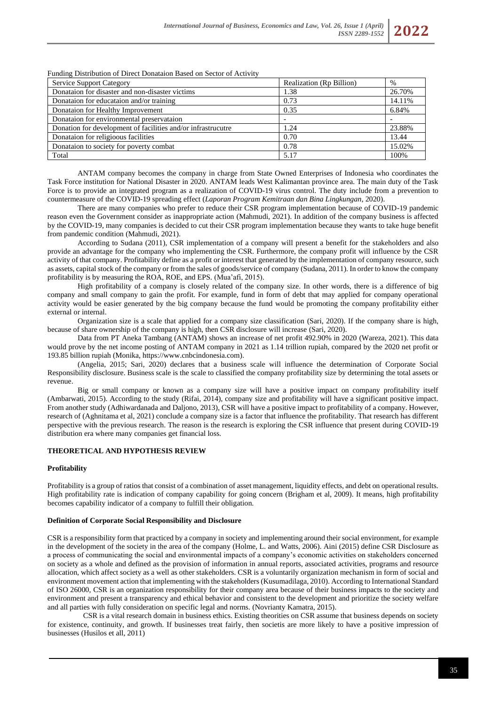

### Funding Distribution of Direct Donataion Based on Sector of Activity

ANTAM company becomes the company in charge from State Owned Enterprises of Indonesia who coordinates the Task Force institution for National Disaster in 2020. ANTAM leads West Kalimantan province area. The main duty of the Task Force is to provide an integrated program as a realization of COVID-19 virus control. The duty include from a prevention to countermeasure of the COVID-19 spreading effect (*Laporan Program Kemitraan dan Bina Lingkungan*, 2020).

There are many companies who prefer to reduce their CSR program implementation because of COVID-19 pandemic reason even the Government consider as inappropriate action (Mahmudi, 2021). In addition of the company business is affected by the COVID-19, many companies is decided to cut their CSR program implementation because they wants to take huge benefit from pandemic condition (Mahmudi, 2021).

According to Sudana (2011), CSR implementation of a company will present a benefit for the stakeholders and also provide an advantage for the company who implementing the CSR. Furthermore, the company profit will influence by the CSR activity of that company. Profitability define as a profit or interest that generated by the implementation of company resource, such as assets, capital stock of the company or from the sales of goods/service of company (Sudana, 2011). In order to know the company profitability is by measuring the ROA, ROE, and EPS. (Mua'afi, 2015).

High profitability of a company is closely related of the company size. In other words, there is a difference of big company and small company to gain the profit. For example, fund in form of debt that may applied for company operational activity would be easier generated by the big company because the fund would be promoting the company profitability either external or internal.

Organization size is a scale that applied for a company size classification (Sari, 2020). If the company share is high, because of share ownership of the company is high, then CSR disclosure will increase (Sari, 2020).

Data from PT Aneka Tambang (ANTAM) shows an increase of net profit 492.90% in 2020 (Wareza, 2021). This data would prove by the net income posting of ANTAM company in 2021 as 1.14 trillion rupiah, compared by the 2020 net profit or 193.85 billion rupiah (Monika, [https://www.cnbcindonesia.com\)](https://www.cnbcindonesia.com/).

(Angelia, 2015; Sari, 2020) declares that a business scale will influence the determination of Corporate Social Responsibility disclosure. Business scale is the scale to classified the company profitability size by determining the total assets or revenue.

Big or small company or known as a company size will have a positive impact on company profitability itself (Ambarwati, 2015). According to the study (Rifai, 2014), company size and profitability will have a significant positive impact. From another study (Adhiwardanada and Daljono, 2013), CSR will have a positive impact to profitability of a company. However, research of (Aghnitama et al, 2021) conclude a company size is a factor that influence the profitability. That research has different perspective with the previous research. The reason is the research is exploring the CSR influence that present during COVID-19 distribution era where many companies get financial loss.

#### **THEORETICAL AND HYPOTHESIS REVIEW**

#### **Profitability**

Profitability is a group of ratios that consist of a combination of asset management, liquidity effects, and debt on operational results. High profitability rate is indication of company capability for going concern (Brigham et al, 2009). It means, high profitability becomes capability indicator of a company to fulfill their obligation.

### **Definition of Corporate Social Responsibility and Disclosure**

CSR is a responsibility form that practiced by a company in society and implementing around their social environment, for example in the development of the society in the area of the company (Holme, L. and Watts, 2006). Aini (2015) define CSR Disclosure as a process of communicating the social and environmental impacts of a company's economic activities on stakeholders concerned on society as a whole and defined as the provision of information in annual reports, associated activities, programs and resource allocation, which affect society as a well as other stakeholders. CSR is a voluntarily organization mechanism in form of social and environment movement action that implementing with the stakeholders (Kusumadilaga, 2010). According to International Standard of ISO 26000, CSR is an organization responsibility for their company area because of their business impacts to the society and environment and present a transparency and ethical behavior and consistent to the development and prioritize the society welfare and all parties with fully consideration on specific legal and norms. (Novrianty Kamatra, 2015).

CSR is a vital research domain in business ethics. Existing theorities on CSR assume that business depends on society for existence, continuity, and growth. If businesses treat fairly, then societis are more likely to have a positive impression of businesses (Husilos et all, 2011)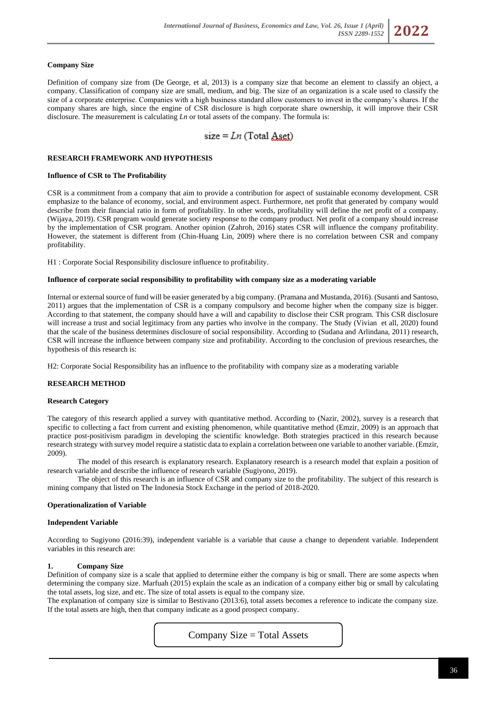### **Company Size**

Definition of company size from (De George, et al, 2013) is a company size that become an element to classify an object, a company. Classification of company size are small, medium, and big. The size of an organization is a scale used to classify the size of a corporate enterprise. Companies with a high business standard allow customers to invest in the company's shares. If the company shares are high, since the engine of CSR disclosure is high corporate share ownership, it will improve their CSR disclosure. The measurement is calculating *Ln* or total assets of the company. The formula is:

size = 
$$
Ln
$$
 (Total Aset)

#### **RESEARCH FRAMEWORK AND HYPOTHESIS**

### **Influence of CSR to The Profitability**

CSR is a commitment from a company that aim to provide a contribution for aspect of sustainable economy development. CSR emphasize to the balance of economy, social, and environment aspect. Furthermore, net profit that generated by company would describe from their financial ratio in form of profitability. In other words, profitability will define the net profit of a company. (Wijaya, 2019). CSR program would generate society response to the company product. Net profit of a company should increase by the implementation of CSR program. Another opinion (Zahroh, 2016) states CSR will influence the company profitability. However, the statement is different from (Chin-Huang Lin, 2009) where there is no correlation between CSR and company profitability.

H1 : Corporate Social Responsibility disclosure influence to profitability.

### **Influence of corporate social responsibility to profitability with company size as a moderating variable**

Internal or external source of fund will be easier generated by a big company. (Pramana and Mustanda, 2016). (Susanti and Santoso, 2011) argues that the implementation of CSR is a company compulsory and become higher when the company size is bigger. According to that statement, the company should have a will and capability to disclose their CSR program. This CSR disclosure will increase a trust and social legitimacy from any parties who involve in the company. The Study (Vivian et all, 2020) found that the scale of the business determines disclosure of social responsibility. According to (Sudana and Arlindana, 2011) research, CSR will increase the influence between company size and profitability. According to the conclusion of previous researches, the hypothesis of this research is:

H2: Corporate Social Responsibility has an influence to the profitability with company size as a moderating variable

### **RESEARCH METHOD**

#### **Research Category**

The category of this research applied a survey with quantitative method. According to (Nazir, 2002), survey is a research that specific to collecting a fact from current and existing phenomenon, while quantitative method (Emzir, 2009) is an approach that practice post-positivism paradigm in developing the scientific knowledge. Both strategies practiced in this research because research strategy with survey model require a statistic data to explain a correlation between one variable to another variable. (Emzir, 2009).

The model of this research is explanatory research. Explanatory research is a research model that explain a position of research variable and describe the influence of research variable (Sugiyono, 2019).

The object of this research is an influence of CSR and company size to the profitability. The subject of this research is mining company that listed on The Indonesia Stock Exchange in the period of 2018-2020.

#### **Operationalization of Variable**

#### **Independent Variable**

According to Sugiyono (2016:39), independent variable is a variable that cause a change to dependent variable. Independent variables in this research are:

#### **1. Company Size**

Definition of company size is a scale that applied to determine either the company is big or small. There are some aspects when determining the company size. Marfuah (2015) explain the scale as an indication of a company either big or small by calculating the total assets, log size, and etc. The size of total assets is equal to the company size.

The explanation of company size is similar to Bestivano (2013:6), total assets becomes a reference to indicate the company size. If the total assets are high, then that company indicate as a good prospect company.

Company Size = Total Assets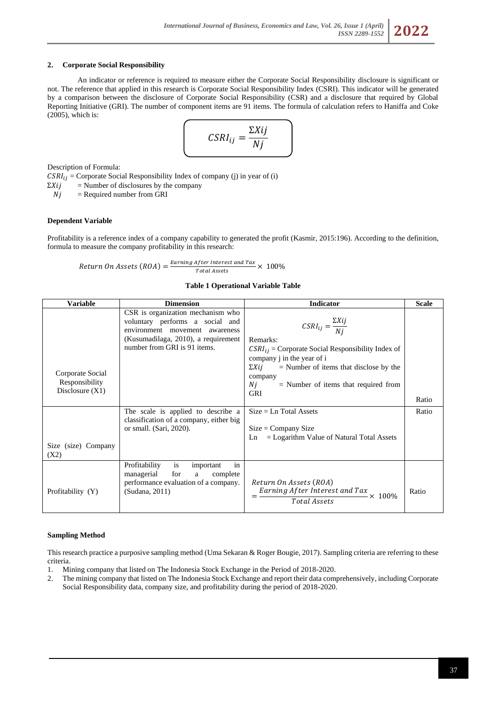# **2. Corporate Social Responsibility**

An indicator or reference is required to measure either the Corporate Social Responsibility disclosure is significant or not. The reference that applied in this research is Corporate Social Responsibility Index (CSRI). This indicator will be generated by a comparison between the disclosure of Corporate Social Responsibility (CSR) and a disclosure that required by Global Reporting Initiative (GRI). The number of component items are 91 items. The formula of calculation refers to Haniffa and Coke (2005), which is:

$$
CSRI_{ij} = \frac{\Sigma Xij}{Nj}
$$

Description of Formula:

 $\text{CSRI}_{ij} = \text{Corporate Social Responsibility Index of company (j) in year of (i)}$ 

 $\sum$ *Xij* = Number of disclosures by the company

 $Nj$  = Required number from GRI

# **Dependent Variable**

Profitability is a reference index of a company capability to generated the profit (Kasmir, 2015:196). According to the definition, formula to measure the company profitability in this research:

Return On Assets  $(ROA) = \frac{Earning\ After\ Interest\ and\ Tax}{Total\ nearest} \times 100\%$ Total Assets

### **Table 1 Operational Variable Table**

| Variable                                                | <b>Dimension</b>                                                                                                                                                              | <b>Indicator</b>                                                                                                                                                                                                                                                               | <b>Scale</b> |
|---------------------------------------------------------|-------------------------------------------------------------------------------------------------------------------------------------------------------------------------------|--------------------------------------------------------------------------------------------------------------------------------------------------------------------------------------------------------------------------------------------------------------------------------|--------------|
| Corporate Social<br>Responsibility<br>Disclosure $(X1)$ | CSR is organization mechanism who<br>voluntary performs a social and<br>environment movement awareness<br>(Kusumadilaga, 2010), a requirement<br>number from GRI is 91 items. | $CSRI_{ij} = \frac{\Sigma Xij}{Ni}$<br>Remarks:<br>$CSRI_{ij}$ = Corporate Social Responsibility Index of<br>company j in the year of i<br>$\Sigma X i j$<br>$=$ Number of items that disclose by the<br>company<br>Nj<br>$=$ Number of items that required from<br><b>GRI</b> | Ratio        |
| Size (size) Company<br>(X2)                             | The scale is applied to describe a<br>classification of a company, either big<br>or small. (Sari, 2020).                                                                      | $Size = Ln Total Assets$<br>$Size = Company Size$<br>$=$ Logarithm Value of Natural Total Assets<br>Ln                                                                                                                                                                         | Ratio        |
| Profitability (Y)                                       | Profitability<br><i>is</i><br>important<br>in<br>managerial<br>for<br>complete<br>a<br>performance evaluation of a company.<br>(Sudana, 2011)                                 | Return On Assets (ROA)<br>Earning After Interest and Tax<br>Total Assets<br>$\times$ 100%                                                                                                                                                                                      | Ratio        |

### **Sampling Method**

This research practice a purposive sampling method (Uma Sekaran & Roger Bougie, 2017). Sampling criteria are referring to these criteria.

- 1. Mining company that listed on The Indonesia Stock Exchange in the Period of 2018-2020.
- 2. The mining company that listed on The Indonesia Stock Exchange and report their data comprehensively, including Corporate Social Responsibility data, company size, and profitability during the period of 2018-2020.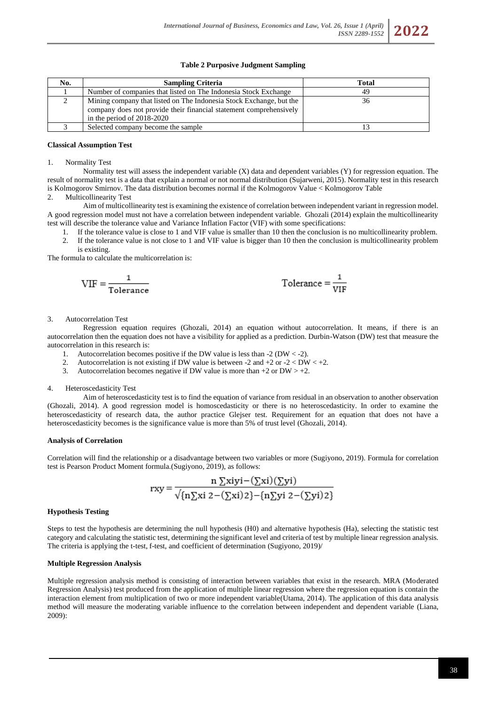# **Table 2 Purposive Judgment Sampling**

| No. | <b>Sampling Criteria</b>                                            | <b>Total</b> |
|-----|---------------------------------------------------------------------|--------------|
|     | Number of companies that listed on The Indonesia Stock Exchange     | 49           |
|     | Mining company that listed on The Indonesia Stock Exchange, but the | 36           |
|     | company does not provide their financial statement comprehensively  |              |
|     | in the period of $2018-2020$                                        |              |
|     | Selected company become the sample                                  |              |

# **Classical Assumption Test**

### 1. Normality Test

Normality test will assess the independent variable (X) data and dependent variables (Y) for regression equation. The result of normality test is a data that explain a normal or not normal distribution (Sujarweni, 2015). Normality test in this research is Kolmogorov Smirnov. The data distribution becomes normal if the Kolmogorov Value < Kolmogorov Table

2. Multicollinearity Test

Aim of multicollinearity test is examining the existence of correlation between independent variant in regression model. A good regression model must not have a correlation between independent variable. Ghozali (2014) explain the multicollinearity test will describe the tolerance value and Variance Inflation Factor (VIF) with some specifications:

- 1. If the tolerance value is close to 1 and VIF value is smaller than 10 then the conclusion is no multicollinearity problem. 2. If the tolerance value is not close to 1 and VIF value is bigger than 10 then the conclusion is multicollinearity problem
- is existing.

The formula to calculate the multicorrelation is:

$$
VIF = \frac{1}{Tolerance} \qquad \qquad Tolerance = \frac{1}{VIF}
$$

#### 3. Autocorrelation Test

Regression equation requires (Ghozali, 2014) an equation without autocorrelation. It means, if there is an autocorrelation then the equation does not have a visibility for applied as a prediction. Durbin-Watson (DW) test that measure the autocorrelation in this research is:

- 1. Autocorrelation becomes positive if the DW value is less than  $-2$  (DW < -2).
- 2. Autocorrelation is not existing if DW value is between -2 and +2 or -2 < DW < +2.<br>3. Autocorrelation becomes negative if DW value is more than +2 or DW > +2.
- Autocorrelation becomes negative if DW value is more than  $+2$  or DW  $> +2$ .

### 4. Heteroscedasticity Test

Aim of heteroscedasticity test is to find the equation of variance from residual in an observation to another observation (Ghozali, 2014). A good regression model is homoscedasticity or there is no heteroscedasticity. In order to examine the heteroscedasticity of research data, the author practice Glejser test. Requirement for an equation that does not have a heteroscedasticity becomes is the significance value is more than 5% of trust level (Ghozali, 2014).

#### **Analysis of Correlation**

Correlation will find the relationship or a disadvantage between two variables or more (Sugiyono, 2019). Formula for correlation test is Pearson Product Moment formula.(Sugiyono, 2019), as follows:

$$
rxy = \frac{n \sum xiyi - (\sum xi)(\sum yi)}{\sqrt{\{n \sum xi \ 2 - (\sum xi)2\} - \{n \sum yi \ 2 - (\sum yi)2\}}}
$$

### **Hypothesis Testing**

Steps to test the hypothesis are determining the null hypothesis (H0) and alternative hypothesis (Ha), selecting the statistic test category and calculating the statistic test, determining the significant level and criteria of test by multiple linear regression analysis. The criteria is applying the t-test, f-test, and coefficient of determination (Sugiyono, 2019)/

### **Multiple Regression Analysis**

Multiple regression analysis method is consisting of interaction between variables that exist in the research. MRA (Moderated Regression Analysis) test produced from the application of multiple linear regression where the regression equation is contain the interaction element from multiplication of two or more independent variable(Utama, 2014). The application of this data analysis method will measure the moderating variable influence to the correlation between independent and dependent variable (Liana, 2009):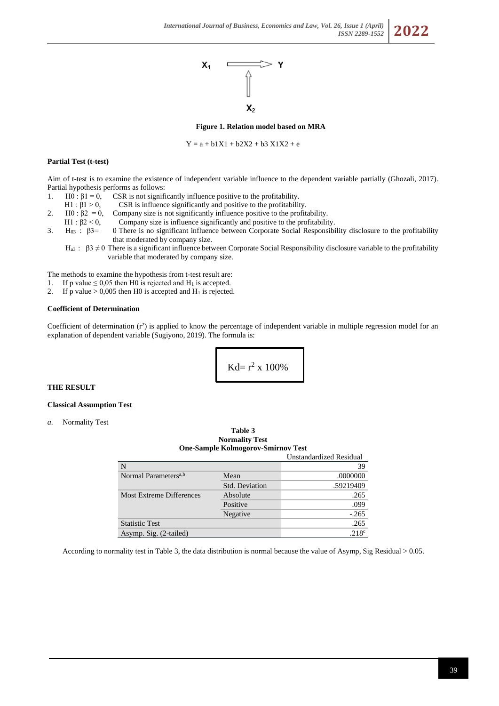



#### **Figure 1. Relation model based on MRA**

 $Y = a + b1X1 + b2X2 + b3X1X2 + e$ 

#### **Partial Test (t-test)**

Aim of t-test is to examine the existence of independent variable influence to the dependent variable partially (Ghozali, 2017). Partial hypothesis performs as follows:

- 1. H0 :  $β1 = 0$ , CSR is not significantly influence positive to the profitability.
- H1 :  $β1 > 0$ , CSR is influence significantly and positive to the profitability.
- 2. H0 :  $\beta$ 2 = 0, Company size is not significantly influence positive to the profitability.
- H1 : β2 < 0, Company size is influence significantly and positive to the profitability.
- 3. H03 : β3= 0 There is no significant influence between Corporate Social Responsibility disclosure to the profitability that moderated by company size.
	- H<sub>a3</sub>: β3  $\neq$  0 There is a significant influence between Corporate Social Responsibility disclosure variable to the profitability variable that moderated by company size.

The methods to examine the hypothesis from t-test result are:

- 1. If p value  $\leq 0.05$  then H0 is rejected and H<sub>1</sub> is accepted.
- 2. If p value  $> 0,005$  then H0 is accepted and H<sub>1</sub> is rejected.

#### **Coefficient of Determination**

Coefficient of determination  $(r^2)$  is applied to know the percentage of independent variable in multiple regression model for an explanation of dependent variable (Sugiyono, 2019). The formula is:

$$
Kd = r^2 \times 100\%
$$

### **THE RESULT**

# **Classical Assumption Test**

*a.* Normality Test

|                                  | <b>Normality Test</b><br><b>One-Sample Kolmogorov-Smirnov Test</b> |                   |  |  |
|----------------------------------|--------------------------------------------------------------------|-------------------|--|--|
| Unstandardized Residual          |                                                                    |                   |  |  |
| N                                |                                                                    | 39                |  |  |
| Normal Parameters <sup>a,b</sup> | Mean                                                               | .0000000          |  |  |
|                                  | <b>Std. Deviation</b>                                              | .59219409         |  |  |
| <b>Most Extreme Differences</b>  | Absolute                                                           | .265              |  |  |
|                                  | Positive                                                           | .099              |  |  |
|                                  | Negative                                                           | $-.265$           |  |  |
| <b>Statistic Test</b>            |                                                                    | .265              |  |  |
| Asymp. Sig. (2-tailed)           |                                                                    | .218 <sup>c</sup> |  |  |

**Table 3**

According to normality test in Table 3, the data distribution is normal because the value of Asymp, Sig Residual > 0.05.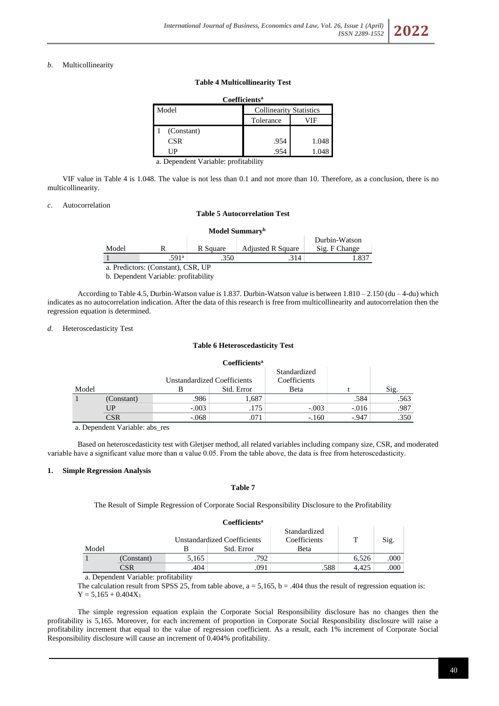# *b.* Multicollinearity

# **Table 4 Multicollinearity Test**

| <b>Coefficients<sup>a</sup></b> |                                |       |  |
|---------------------------------|--------------------------------|-------|--|
| Model                           | <b>Collinearity Statistics</b> |       |  |
|                                 | Tolerance                      | ⁄ I F |  |
| (Constant)                      |                                |       |  |
| <b>CSR</b>                      | .954                           | 1.048 |  |
|                                 | .954                           | .048  |  |

a. Dependent Variable: profitability

VIF value in Table 4 is 1.048. The value is not less than 0.1 and not more than 10. Therefore, as a conclusion, there is no multicollinearity.

### *c.* Autocorrelation

#### **Table 5 Autocorrelation Test**

|                                      |                                   |          | Model Summary <sup>b</sup> |               |  |  |
|--------------------------------------|-----------------------------------|----------|----------------------------|---------------|--|--|
| Durbin-Watson                        |                                   |          |                            |               |  |  |
| Model                                |                                   | R Square | <b>Adjusted R Square</b>   | Sig. F Change |  |  |
|                                      | .591 <sup>a</sup><br>.350<br>.314 |          |                            | 1.837         |  |  |
| a. Predictors: (Constant), CSR, UP   |                                   |          |                            |               |  |  |
| b. Dependent Variable: profitability |                                   |          |                            |               |  |  |

According to Table 4.5, Durbin-Watson value is 1.837. Durbin-Watson value is between  $1.810 - 2.150$  (du  $-4$ -du) which indicates as no autocorrelation indication. After the data of this research is free from multicollinearity and autocorrelation then the regression equation is determined.

### *d.* Heteroscedasticity Test

#### **Table 6 Heteroscedasticity Test**

|       |            |                                    | Coefficients <sup>a</sup> |                              |         |      |
|-------|------------|------------------------------------|---------------------------|------------------------------|---------|------|
|       |            | <b>Unstandardized Coefficients</b> |                           | Standardized<br>Coefficients |         |      |
| Model |            |                                    | Std. Error                | Beta                         |         | Sig. |
|       | (Constant) | .986                               | 1,687                     |                              | .584    | .563 |
|       | UP         | $-.003$                            | .175                      | $-.003$                      | $-.016$ | .987 |
|       | CSR        | $-.068$                            | .071                      | $-.160$                      | $-.947$ | .350 |

a. Dependent Variable: abs\_res

Based on heteroscedasticity test with Gletjser method, all related variables including company size, CSR, and moderated variable have a significant value more than  $\alpha$  value 0.05. From the table above, the data is free from heteroscedasticity.

#### **1. Simple Regression Analysis**

# **Table 7**

The Result of Simple Regression of Corporate Social Responsibility Disclosure to the Profitability

|       |            |       | Coefficients <sup>a</sup>          |                              |       |      |
|-------|------------|-------|------------------------------------|------------------------------|-------|------|
|       |            |       | <b>Unstandardized Coefficients</b> | Standardized<br>Coefficients | т     | Sig. |
| Model |            |       | Std. Error                         | Beta                         |       |      |
|       | (Constant) | 5,165 | .792                               |                              | 6.526 | .000 |
|       | CSR        | .404  | .091                               | .588                         | 4.425 | .000 |

a. Dependent Variable: profitability

The calculation result from SPSS 25, from table above,  $a = 5,165$ ,  $b = .404$  thus the result of regression equation is:  $Y = 5,165 + 0.404X_1$ 

The simple regression equation explain the Corporate Social Responsibility disclosure has no changes then the profitability is 5,165. Moreover, for each increment of proportion in Corporate Social Responsibility disclosure will raise a profitability increment that equal to the value of regression coefficient. As a result, each 1% increment of Corporate Social Responsibility disclosure will cause an increment of 0.404% profitability.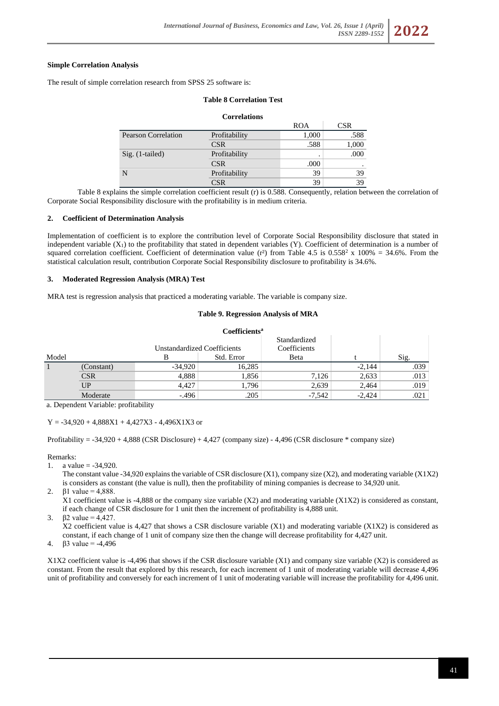### **Simple Correlation Analysis**

The result of simple correlation research from SPSS 25 software is:

### **Table 8 Correlation Test**

# **Correlations** ROA CSR Pearson Correlation Profitability 1,000 .588 CSR .588 .588 1,000 Sig. (1-tailed) Profitability . .000  $CSR$  .000 . N Profitability 39 39  $CSR$  39 39

Table 8 explains the simple correlation coefficient result (r) is 0.588. Consequently, relation between the correlation of Corporate Social Responsibility disclosure with the profitability is in medium criteria.

#### **2. Coefficient of Determination Analysis**

Implementation of coefficient is to explore the contribution level of Corporate Social Responsibility disclosure that stated in independent variable  $(X_1)$  to the profitability that stated in dependent variables  $(Y)$ . Coefficient of determination is a number of squared correlation coefficient. Coefficient of determination value (r<sup>2</sup>) from Table 4.5 is 0.558<sup>2</sup> x 100% = 34.6%. From the statistical calculation result, contribution Corporate Social Responsibility disclosure to profitability is 34.6%.

#### **3. Moderated Regression Analysis (MRA) Test**

MRA test is regression analysis that practiced a moderating variable. The variable is company size.

#### **Table 9. Regression Analysis of MRA**

|       |            |                                    | Coefficients <sup>a</sup> |              |          |      |
|-------|------------|------------------------------------|---------------------------|--------------|----------|------|
|       |            |                                    |                           | Standardized |          |      |
|       |            | <b>Unstandardized Coefficients</b> |                           | Coefficients |          |      |
| Model |            |                                    | Std. Error                | <b>B</b> eta |          | Sig. |
|       | (Constant) | $-34.920$                          | 16,285                    |              | $-2.144$ | .039 |
|       | <b>CSR</b> | 4,888                              | 1,856                     | 7,126        | 2,633    | .013 |
|       | UP         | 4,427                              | 1,796                     | 2,639        | 2,464    | .019 |
|       | Moderate   | $-0.496$                           | .205                      | $-7.542$     | $-2.424$ | .021 |

a. Dependent Variable: profitability

 $Y = -34,920 + 4,888X1 + 4,427X3 - 4,496X1X3$  or

Profitability = -34,920 + 4,888 (CSR Disclosure) + 4,427 (company size) - 4,496 (CSR disclosure \* company size)

Remarks:

- 1. a value =  $-34,920$ .
- The constant value -34,920 explains the variable of CSR disclosure  $(X1)$ , company size  $(X2)$ , and moderating variable  $(X1X2)$ is considers as constant (the value is null), then the profitability of mining companies is decrease to 34,920 unit.
- 2.  $β1$  value = 4,888.

X1 coefficient value is  $-4,888$  or the company size variable (X2) and moderating variable (X1X2) is considered as constant, if each change of CSR disclosure for 1 unit then the increment of profitability is 4,888 unit.

3.  $\beta$ 2 value = 4,427.

X2 coefficient value is 4,427 that shows a CSR disclosure variable (X1) and moderating variable (X1X2) is considered as constant, if each change of 1 unit of company size then the change will decrease profitability for 4,427 unit.

4.  $β3$  value = -4,496

X1X2 coefficient value is -4,496 that shows if the CSR disclosure variable (X1) and company size variable (X2) is considered as constant. From the result that explored by this research, for each increment of 1 unit of moderating variable will decrease 4,496 unit of profitability and conversely for each increment of 1 unit of moderating variable will increase the profitability for 4,496 unit.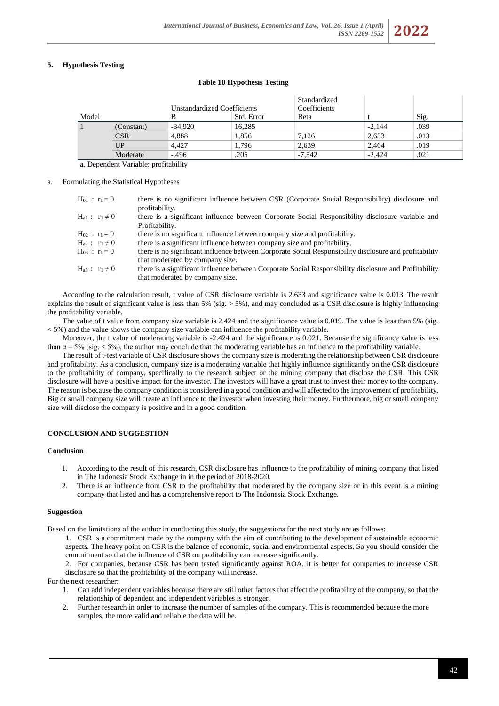# **5. Hypothesis Testing**

### **Table 10 Hypothesis Testing**

|            |           | Unstandardized Coefficients | Standardized<br>Coefficients |          |      |  |
|------------|-----------|-----------------------------|------------------------------|----------|------|--|
| Model      |           | Std. Error                  | Beta                         |          | Sig. |  |
| (Constant) | $-34.920$ | 16.285                      |                              | $-2.144$ | .039 |  |
| <b>CSR</b> | 4,888     | 1,856                       | 7,126                        | 2,633    | .013 |  |
| UP         | 4.427     | 1,796                       | 2,639                        | 2,464    | .019 |  |
| Moderate   | $-.496$   | .205                        | $-7.542$                     | $-2.424$ | .021 |  |

a. Dependent Variable: profitability

a. Formulating the Statistical Hypotheses

| $H_{01}: r_1=0$      | there is no significant influence between CSR (Corporate Social Responsibility) disclosure and<br>profitability.                          |
|----------------------|-------------------------------------------------------------------------------------------------------------------------------------------|
| $H_{a1}: r_1 \neq 0$ | there is a significant influence between Corporate Social Responsibility disclosure variable and<br>Profitability.                        |
| $H_{02}: r_1=0$      | there is no significant influence between company size and profitability.                                                                 |
| $H_{a2}: r_1 \neq 0$ | there is a significant influence between company size and profitability.                                                                  |
| $H_{03}$ : $r_1 = 0$ | there is no significant influence between Corporate Social Responsibility disclosure and profitability<br>that moderated by company size. |
| $H_{a3}: r_1 \neq 0$ | there is a significant influence between Corporate Social Responsibility disclosure and Profitability<br>that moderated by company size.  |

According to the calculation result, t value of CSR disclosure variable is 2.633 and significance value is 0.013. The result explains the result of significant value is less than 5% (sig.  $>$  5%), and may concluded as a CSR disclosure is highly influencing the profitability variable.

The value of t value from company size variable is 2.424 and the significance value is 0.019. The value is less than 5% (sig.  $\langle 5\% \rangle$  and the value shows the company size variable can influence the profitability variable.

Moreover, the t value of moderating variable is -2.424 and the significance is 0.021. Because the significance value is less than  $\alpha$  = 5% (sig. < 5%), the author may conclude that the moderating variable has an influence to the profitability variable.

The result of t-test variable of CSR disclosure shows the company size is moderating the relationship between CSR disclosure and profitability. As a conclusion, company size is a moderating variable that highly influence significantly on the CSR disclosure to the profitability of company, specifically to the research subject or the mining company that disclose the CSR. This CSR disclosure will have a positive impact for the investor. The investors will have a great trust to invest their money to the company. The reason is because the company condition is considered in a good condition and will affected to the improvement of profitability. Big or small company size will create an influence to the investor when investing their money. Furthermore, big or small company size will disclose the company is positive and in a good condition.

## **CONCLUSION AND SUGGESTION**

#### **Conclusion**

- 1. According to the result of this research, CSR disclosure has influence to the profitability of mining company that listed in The Indonesia Stock Exchange in in the period of 2018-2020.
- 2. There is an influence from CSR to the profitability that moderated by the company size or in this event is a mining company that listed and has a comprehensive report to The Indonesia Stock Exchange.

#### **Suggestion**

Based on the limitations of the author in conducting this study, the suggestions for the next study are as follows:

1. CSR is a commitment made by the company with the aim of contributing to the development of sustainable economic aspects. The heavy point on CSR is the balance of economic, social and environmental aspects. So you should consider the commitment so that the influence of CSR on profitability can increase significantly.

2. For companies, because CSR has been tested significantly against ROA, it is better for companies to increase CSR disclosure so that the profitability of the company will increase.

# For the next researcher:

- 1. Can add independent variables because there are still other factors that affect the profitability of the company, so that the relationship of dependent and independent variables is stronger.
- 2. Further research in order to increase the number of samples of the company. This is recommended because the more samples, the more valid and reliable the data will be.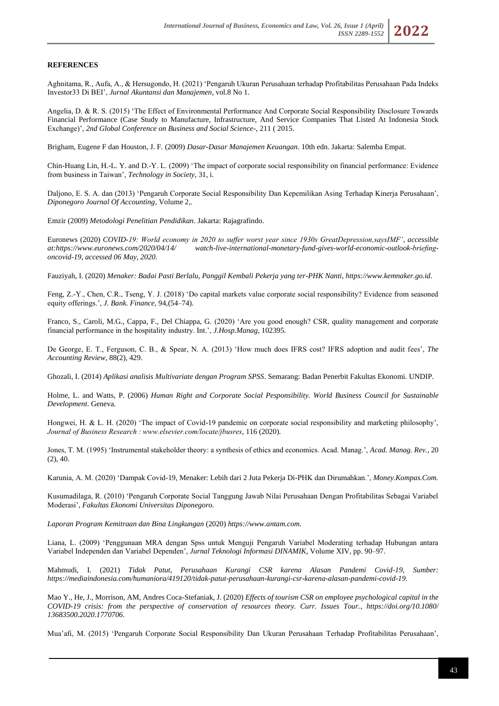#### **REFERENCES**

Aghnitama, R., Aufa, A., & Hersugondo, H. (2021) 'Pengaruh Ukuran Perusahaan terhadap Profitabilitas Perusahaan Pada Indeks Investor33 Di BEI', *Jurnal Akuntansi dan Manajemen*, vol.8 No 1.

Angelia, D. & R. S. (2015) 'The Effect of Environmental Performance And Corporate Social Responsibility Disclosure Towards Financial Performance (Case Study to Manufacture, Infrastructure, And Service Companies That Listed At Indonesia Stock Exchange)', *2nd Global Conference on Business and Social Science-*, 211 ( 2015.

Brigham, Eugene F dan Houston, J. F. (2009) *Dasar-Dasar Manajemen Keuangan*. 10th edn. Jakarta: Salemba Empat.

Chin-Huang Lin, H.-L. Y. and D.-Y. L. (2009) 'The impact of corporate social responsibility on financial performance: Evidence from business in Taiwan', *Technology in Society*, 31, i.

Daljono, E. S. A. dan (2013) 'Pengaruh Corporate Social Responsibility Dan Kepemilikan Asing Terhadap Kinerja Perusahaan', *Diponegoro Journal Of Accounting*, Volume 2,.

Emzir (2009) *Metodologi Penelitian Pendidikan*. Jakarta: Rajagrafindo.

Euronews (2020) *COVID-19: World economy in 2020 to suffer worst year since 1930s GreatDepression,saysIMF'*, *accessible at:https://www.euronews.com/2020/04/14/ watch-live-international-monetary-fund-gives-world-economic-outlook-briefingoncovid-19, accessed 06 May, 2020.*

Fauziyah, I. (2020) *Menaker: Badai Pasti Berlalu, Panggil Kembali Pekerja yang ter-PHK Nanti*, *https://www.kemnaker.go.id*.

Feng, Z.-Y., Chen, C.R., Tseng, Y. J. (2018) 'Do capital markets value corporate social responsibility? Evidence from seasoned equity offerings.', *J. Bank. Finance*, 94,(54–74).

Franco, S., Caroli, M.G., Cappa, F., Del Chiappa, G. (2020) 'Are you good enough? CSR, quality management and corporate financial performance in the hospitality industry. Int.', *J.Hosp.Manag*, 102395.

De George, E. T., Ferguson, C. B., & Spear, N. A. (2013) 'How much does IFRS cost? IFRS adoption and audit fees', *The Accounting Review*, 88(2), 429.

Ghozali, I. (2014) *Aplikasi analisis Multivariate dengan Program SPSS*. Semarang: Badan Penerbit Fakultas Ekonomi. UNDIP.

Holme, L. and Watts, P. (2006) *Human Right and Corporate Social Pesponsibility. World Business Council for Sustainable Development*. Geneva.

Hongwei, H. & L. H. (2020) 'The impact of Covid-19 pandemic on corporate social responsibility and marketing philosophy', *Journal of Business Research : www.elsevier.com/locate/jbusres*, 116 (2020).

Jones, T. M. (1995) 'Instrumental stakeholder theory: a synthesis of ethics and economics. Acad. Manag.', *Acad. Manag. Rev.*, 20 (2), 40.

Karunia, A. M. (2020) 'Dampak Covid-19, Menaker: Lebih dari 2 Juta Pekerja Di-PHK dan Dirumahkan.', *Money.Kompas.Com.*

Kusumadilaga, R. (2010) 'Pengaruh Corporate Social Tanggung Jawab Nilai Perusahaan Dengan Profitabilitas Sebagai Variabel Moderasi', *Fakultas Ekonomi Universitas Diponegoro.*

*Laporan Program Kemitraan dan Bina Lingkungan* (2020) *https://www.antam.com*.

Liana, L. (2009) 'Penggunaan MRA dengan Spss untuk Menguji Pengaruh Variabel Moderating terhadap Hubungan antara Variabel Independen dan Variabel Dependen', *Jurnal Teknologi Informasi DINAMIK*, Volume XIV, pp. 90–97.

Mahmudi, I. (2021) *Tidak Patut, Perusahaan Kurangi CSR karena Alasan Pandemi Covid-19*, *Sumber: https://mediaindonesia.com/humaniora/419120/tidak-patut-perusahaan-kurangi-csr-karena-alasan-pandemi-covid-19*.

Mao Y., He, J., Morrison, AM, Andres Coca-Stefaniak, J. (2020) *Effects of tourism CSR on employee psychological capital in the COVID-19 crisis: from the perspective of conservation of resources theory. Curr. Issues Tour.*, *https://doi.org/10.1080/ 13683500.2020.1770706.*

Mua'afi, M. (2015) 'Pengaruh Corporate Social Responsibility Dan Ukuran Perusahaan Terhadap Profitabilitas Perusahaan',